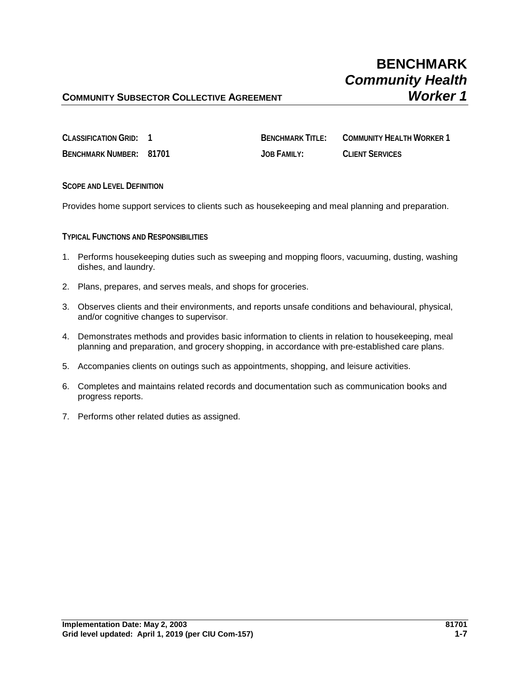## **COMMUNITY SUBSECTOR COLLECTIVE AGREEMENT**

| CLASSIFICATION GRID:           | <b>BENCHMARK TITLE:</b> | COMMUNITY HEALTH WORKER 1 |
|--------------------------------|-------------------------|---------------------------|
| <b>BENCHMARK NUMBER: 81701</b> | <b>JOB FAMILY:</b>      | <b>CLIENT SERVICES</b>    |

**SCOPE AND LEVEL DEFINITION**

Provides home support services to clients such as housekeeping and meal planning and preparation.

**TYPICAL FUNCTIONS AND RESPONSIBILITIES**

- 1. Performs housekeeping duties such as sweeping and mopping floors, vacuuming, dusting, washing dishes, and laundry.
- 2. Plans, prepares, and serves meals, and shops for groceries.
- 3. Observes clients and their environments, and reports unsafe conditions and behavioural, physical, and/or cognitive changes to supervisor.
- 4. Demonstrates methods and provides basic information to clients in relation to housekeeping, meal planning and preparation, and grocery shopping, in accordance with pre-established care plans.
- 5. Accompanies clients on outings such as appointments, shopping, and leisure activities.
- 6. Completes and maintains related records and documentation such as communication books and progress reports.
- 7. Performs other related duties as assigned.